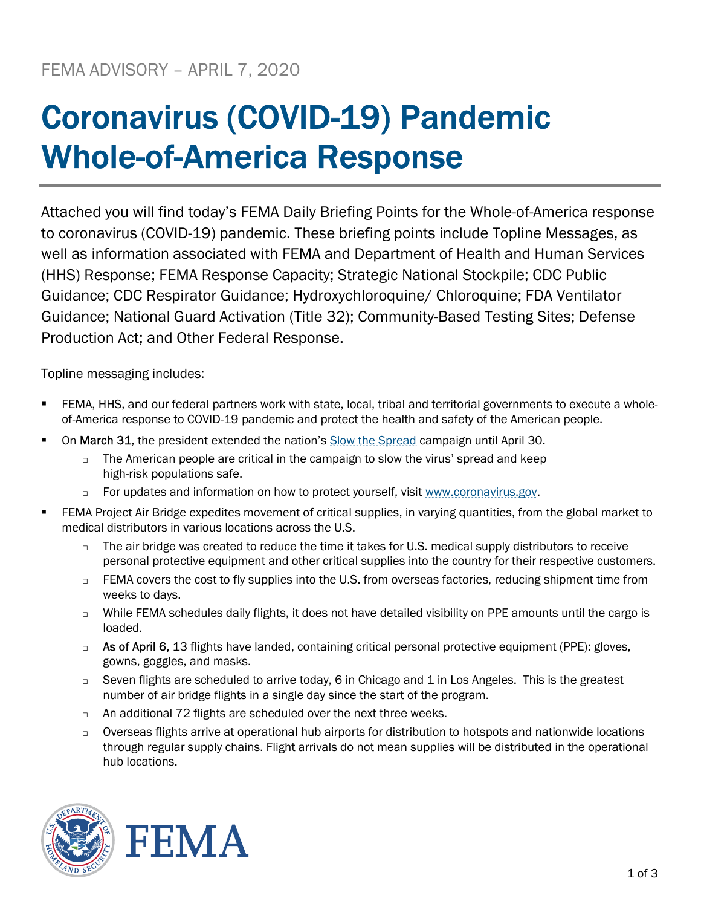## Coronavirus (COVID-19) Pandemic Whole-of-America Response

Attached you will find today's FEMA Daily Briefing Points for the Whole-of-America response to coronavirus (COVID-19) pandemic. These briefing points include Topline Messages, as well as information associated with FEMA and Department of Health and Human Services (HHS) Response; FEMA Response Capacity; Strategic National Stockpile; CDC Public Guidance; CDC Respirator Guidance; Hydroxychloroquine/ Chloroquine; FDA Ventilator Guidance; National Guard Activation (Title 32); Community-Based Testing Sites; Defense Production Act; and Other Federal Response.

Topline messaging includes:

- FEMA, HHS, and our federal partners work with state, local, tribal and territorial governments to execute a wholeof-America response to COVID-19 pandemic and protect the health and safety of the American people.
- On March 31, the president extended the nation's Slow the Spread campaign until April 30.
	- $\Box$  The American people are critical in the campaign to slow the virus' spread and keep high-risk populations safe.
	- $\Box$  For updates and information on how to protect yourself, visit www.coronavirus.gov.
- FEMA Project Air Bridge expedites movement of critical supplies, in varying quantities, from the global market to medical distributors in various locations across the U.S.
	- $\Box$  The air bridge was created to reduce the time it takes for U.S. medical supply distributors to receive personal protective equipment and other critical supplies into the country for their respective customers.
	- $\Box$  FEMA covers the cost to fly supplies into the U.S. from overseas factories, reducing shipment time from weeks to days.
	- □ While FEMA schedules daily flights, it does not have detailed visibility on PPE amounts until the cargo is loaded.
	- $\Box$  As of April 6, 13 flights have landed, containing critical personal protective equipment (PPE): gloves, gowns, goggles, and masks.
	- $\Box$  Seven flights are scheduled to arrive today, 6 in Chicago and 1 in Los Angeles. This is the greatest number of air bridge flights in a single day since the start of the program.
	- $\Box$  An additional 72 flights are scheduled over the next three weeks.
	- $\Box$  Overseas flights arrive at operational hub airports for distribution to hotspots and nationwide locations through regular supply chains. Flight arrivals do not mean supplies will be distributed in the operational hub locations.



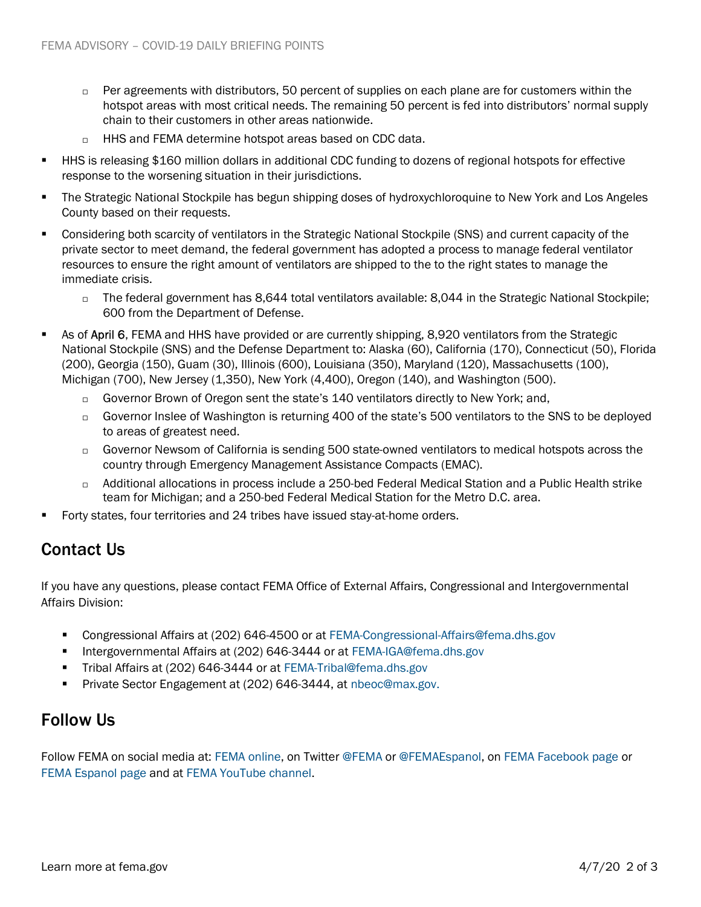- $\Box$  Per agreements with distributors, 50 percent of supplies on each plane are for customers within the hotspot areas with most critical needs. The remaining 50 percent is fed into distributors' normal supply chain to their customers in other areas nationwide.
- HHS and FEMA determine hotspot areas based on CDC data.
- HHS is releasing \$160 million dollars in additional CDC funding to dozens of regional hotspots for effective response to the worsening situation in their jurisdictions.
- The Strategic National Stockpile has begun shipping doses of hydroxychloroquine to New York and Los Angeles County based on their requests.
- Considering both scarcity of ventilators in the Strategic National Stockpile (SNS) and current capacity of the private sector to meet demand, the federal government has adopted a process to manage federal ventilator resources to ensure the right amount of ventilators are shipped to the to the right states to manage the immediate crisis.
	- □ The federal government has 8,644 total ventilators available: 8,044 in the Strategic National Stockpile; 600 from the Department of Defense.
- **As of April 6, FEMA and HHS have provided or are currently shipping, 8,920 ventilators from the Strategic** National Stockpile (SNS) and the Defense Department to: Alaska (60), California (170), Connecticut (50), Florida (200), Georgia (150), Guam (30), Illinois (600), Louisiana (350), Maryland (120), Massachusetts (100), Michigan (700), New Jersey (1,350), New York (4,400), Oregon (140), and Washington (500).
	- Governor Brown of Oregon sent the state's 140 ventilators directly to New York: and.
	- □ Governor Inslee of Washington is returning 400 of the state's 500 ventilators to the SNS to be deployed to areas of greatest need.
	- Governor Newsom of California is sending 500 state-owned ventilators to medical hotspots across the country through Emergency Management Assistance Compacts (EMAC).
	- Additional allocations in process include a 250-bed Federal Medical Station and a Public Health strike team for Michigan; and a 250-bed Federal Medical Station for the Metro D.C. area.
- Forty states, four territories and 24 tribes have issued stay-at-home orders.

## Contact Us

If you have any questions, please contact FEMA Office of External Affairs, Congressional and Intergovernmental Affairs Division:

- Congressional Affairs at (202) 646-4500 or at FEMA-Congressional-Affairs@fema.dhs.gov
- Intergovernmental Affairs at (202) 646-3444 or at FEMA-IGA@fema.dhs.gov
- Tribal Affairs at (202) 646-3444 or at FEMA-Tribal@fema.dhs.gov
- **Private Sector Engagement at (202) 646-3444, at nbeoc@max.gov.**

## Follow Us

Follow FEMA on social media at: FEMA online, on Twitter @FEMA or @FEMAEspanol, on FEMA Facebook page or FEMA Espanol page and at FEMA YouTube channel.